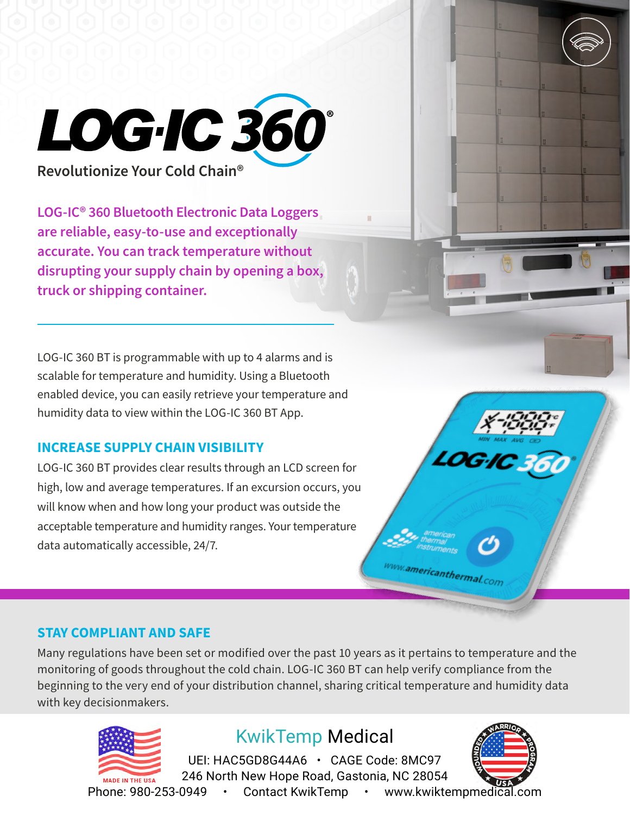

**LOG-IC® 360 Bluetooth Electronic Data Loggers are reliable, easy-to-use and exceptionally accurate. You can track temperature without disrupting your supply chain by opening a box, truck or shipping container.** 

LOG-IC 360 BT is programmable with up to 4 alarms and is scalable for temperature and humidity. Using a Bluetooth enabled device, you can easily retrieve your temperature and humidity data to view within the LOG-IC 360 BT App.

## **INCREASE SUPPLY CHAIN VISIBILITY**

LOG-IC 360 BT provides clear results through an LCD screen for high, low and average temperatures. If an excursion occurs, you will know when and how long your product was outside the acceptable temperature and humidity ranges. Your temperature data automatically accessible, 24/7.

### **STAY COMPLIANT AND SAFE**

Many regulations have been set or modified over the past 10 years as it pertains to temperature and the monitoring of goods throughout the cold chain. LOG-IC 360 BT can help verify compliance from the beginning to the very end of your distribution channel, sharing critical temperature and humidity data with key decisionmakers.



# KwikTemp Medical

**MADE IN THE USA 246 North New Hope Road, Gastonia, NC 28054** UEI: HAC5GD8G44A6 · CAGE Code: 8MC97



www.americanthermal.com